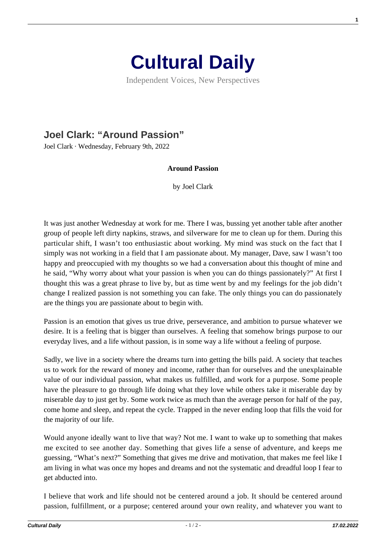

Independent Voices, New Perspectives

## **[Joel Clark: "Around Passion"](https://culturaldaily.com/joel-clark-around-passion/)**

Joel Clark · Wednesday, February 9th, 2022

## **Around Passion**

by Joel Clark

It was just another Wednesday at work for me. There I was, bussing yet another table after another group of people left dirty napkins, straws, and silverware for me to clean up for them. During this particular shift, I wasn't too enthusiastic about working. My mind was stuck on the fact that I simply was not working in a field that I am passionate about. My manager, Dave, saw I wasn't too happy and preoccupied with my thoughts so we had a conversation about this thought of mine and he said, "Why worry about what your passion is when you can do things passionately?" At first I thought this was a great phrase to live by, but as time went by and my feelings for the job didn't change I realized passion is not something you can fake. The only things you can do passionately are the things you are passionate about to begin with.

Passion is an emotion that gives us true drive, perseverance, and ambition to pursue whatever we desire. It is a feeling that is bigger than ourselves. A feeling that somehow brings purpose to our everyday lives, and a life without passion, is in some way a life without a feeling of purpose.

Sadly, we live in a society where the dreams turn into getting the bills paid. A society that teaches us to work for the reward of money and income, rather than for ourselves and the unexplainable value of our individual passion, what makes us fulfilled, and work for a purpose. Some people have the pleasure to go through life doing what they love while others take it miserable day by miserable day to just get by. Some work twice as much than the average person for half of the pay, come home and sleep, and repeat the cycle. Trapped in the never ending loop that fills the void for the majority of our life.

Would anyone ideally want to live that way? Not me. I want to wake up to something that makes me excited to see another day. Something that gives life a sense of adventure, and keeps me guessing, "What's next?" Something that gives me drive and motivation, that makes me feel like I am living in what was once my hopes and dreams and not the systematic and dreadful loop I fear to get abducted into.

I believe that work and life should not be centered around a job. It should be centered around passion, fulfillment, or a purpose; centered around your own reality, and whatever you want to

**1**